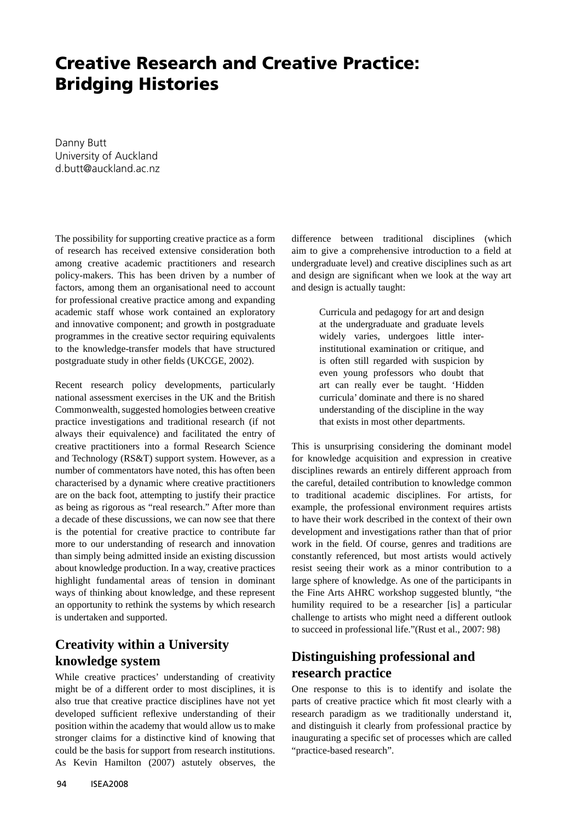## **Creative Research and Creative Practice: Bridging Histories**

Danny Butt University of Auckland d.butt@auckland.ac.nz

The possibility for supporting creative practice as a form of research has received extensive consideration both among creative academic practitioners and research policy-makers. This has been driven by a number of factors, among them an organisational need to account for professional creative practice among and expanding academic staff whose work contained an exploratory and innovative component; and growth in postgraduate programmes in the creative sector requiring equivalents to the knowledge-transfer models that have structured postgraduate study in other fields (UKCGE, 2002).

Recent research policy developments, particularly national assessment exercises in the UK and the British Commonwealth, suggested homologies between creative practice investigations and traditional research (if not always their equivalence) and facilitated the entry of creative practitioners into a formal Research Science and Technology (RS&T) support system. However, as a number of commentators have noted, this has often been characterised by a dynamic where creative practitioners are on the back foot, attempting to justify their practice as being as rigorous as "real research." After more than a decade of these discussions, we can now see that there is the potential for creative practice to contribute far more to our understanding of research and innovation than simply being admitted inside an existing discussion about knowledge production. In a way, creative practices highlight fundamental areas of tension in dominant ways of thinking about knowledge, and these represent an opportunity to rethink the systems by which research is undertaken and supported.

## **Creativity within a University knowledge system**

While creative practices' understanding of creativity might be of a different order to most disciplines, it is also true that creative practice disciplines have not yet developed sufficient reflexive understanding of their position within the academy that would allow us to make stronger claims for a distinctive kind of knowing that could be the basis for support from research institutions. As Kevin Hamilton (2007) astutely observes, the

difference between traditional disciplines (which aim to give a comprehensive introduction to a field at undergraduate level) and creative disciplines such as art and design are significant when we look at the way art and design is actually taught:

> Curricula and pedagogy for art and design at the undergraduate and graduate levels widely varies, undergoes little interinstitutional examination or critique, and is often still regarded with suspicion by even young professors who doubt that art can really ever be taught. 'Hidden curricula' dominate and there is no shared understanding of the discipline in the way that exists in most other departments.

This is unsurprising considering the dominant model for knowledge acquisition and expression in creative disciplines rewards an entirely different approach from the careful, detailed contribution to knowledge common to traditional academic disciplines. For artists, for example, the professional environment requires artists to have their work described in the context of their own development and investigations rather than that of prior work in the field. Of course, genres and traditions are constantly referenced, but most artists would actively resist seeing their work as a minor contribution to a large sphere of knowledge. As one of the participants in the Fine Arts AHRC workshop suggested bluntly, "the humility required to be a researcher [is] a particular challenge to artists who might need a different outlook to succeed in professional life."(Rust et al., 2007: 98)

## **Distinguishing professional and research practice**

One response to this is to identify and isolate the parts of creative practice which fit most clearly with a research paradigm as we traditionally understand it, and distinguish it clearly from professional practice by inaugurating a specific set of processes which are called "practice-based research".